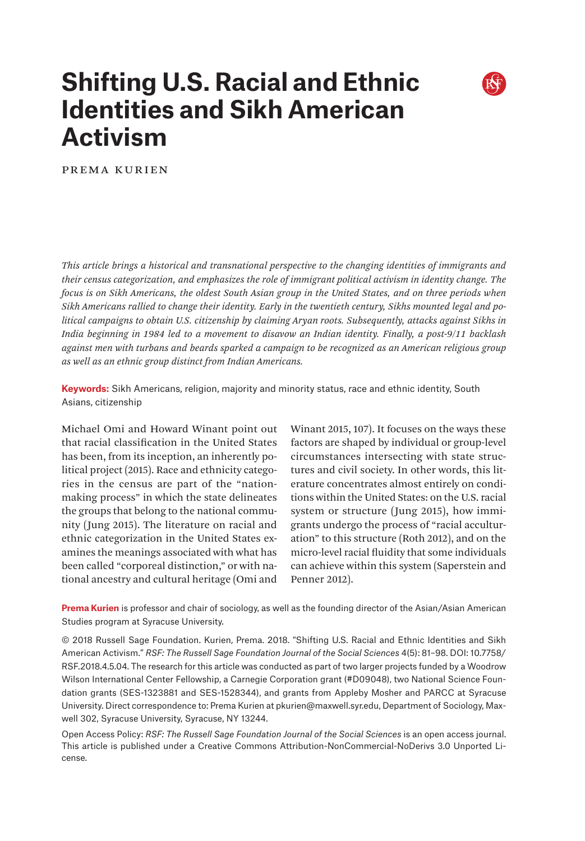# **Shifting U.S. Racial and Ethnic Identities and Sikh American Activism**



Prema Kurien

*This article brings a historical and transnational perspective to the changing identities of immigrants and their census categorization, and emphasizes the role of immigrant political activism in identity change. The focus is on Sikh Americans, the oldest South Asian group in the United States, and on three periods when Sikh Americans rallied to change their identity. Early in the twentieth century, Sikhs mounted legal and political campaigns to obtain U.S. citizenship by claiming Aryan roots. Subsequently, attacks against Sikhs in India beginning in 1984 led to a movement to disavow an Indian identity. Finally, a post-9/11 backlash against men with turbans and beards sparked a campaign to be recognized as an American religious group as well as an ethnic group distinct from Indian Americans.*

**Keywords:** Sikh Americans, religion, majority and minority status, race and ethnic identity, South Asians, citizenship

Michael Omi and Howard Winant point out that racial classification in the United States has been, from its inception, an inherently political project (2015). Race and ethnicity categories in the census are part of the "nationmaking process" in which the state delineates the groups that belong to the national community (Jung 2015). The literature on racial and ethnic categorization in the United States examines the meanings associated with what has been called "corporeal distinction," or with national ancestry and cultural heritage (Omi and

Winant 2015, 107). It focuses on the ways these factors are shaped by individual or group-level circumstances intersecting with state structures and civil society. In other words, this literature concentrates almost entirely on conditions within the United States: on the U.S. racial system or structure (Jung 2015), how immigrants undergo the process of "racial acculturation" to this structure (Roth 2012), and on the micro-level racial fluidity that some individuals can achieve within this system (Saperstein and Penner 2012).

**Prema Kurien** is professor and chair of sociology, as well as the founding director of the Asian/Asian American Studies program at Syracuse University.

© 2018 Russell Sage Foundation. Kurien, Prema. 2018. "Shifting U.S. Racial and Ethnic Identities and Sikh American Activism." *RSF: The Russell Sage Foundation Journal of the Social Sciences* 4(5): 81–98. DOI: 10.7758/ RSF.2018.4.5.04. The research for this article was conducted as part of two larger projects funded by a Woodrow Wilson International Center Fellowship, a Carnegie Corporation grant (#D09048), two National Science Foundation grants (SES-1323881 and SES-1528344), and grants from Appleby Mosher and PARCC at Syracuse University. Direct correspondence to: Prema Kurien at [pkurien@maxwell.syr.edu](mailto:pkurien%40maxwell.syr.edu?subject=), Department of Sociology, Maxwell 302, Syracuse University, Syracuse, NY 13244.

Open Access Policy: *RSF: The Russell Sage Foundation Journal of the Social Sciences* is an open access journal. This article is published under a Creative Commons Attribution-NonCommercial-NoDerivs 3.0 Unported License.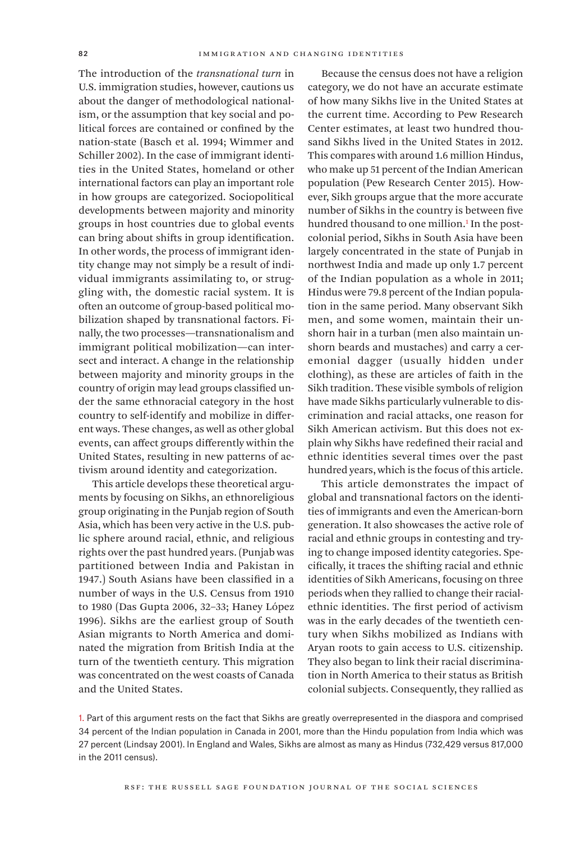The introduction of the *transnational turn* in U.S. immigration studies, however, cautions us about the danger of methodological nationalism, or the assumption that key social and political forces are contained or confined by the nation-state (Basch et al. 1994; Wimmer and Schiller 2002). In the case of immigrant identities in the United States, homeland or other international factors can play an important role in how groups are categorized. Sociopolitical developments between majority and minority groups in host countries due to global events can bring about shifts in group identification. In other words, the process of immigrant identity change may not simply be a result of individual immigrants assimilating to, or struggling with, the domestic racial system. It is often an outcome of group-based political mobilization shaped by transnational factors. Finally, the two processes—transnationalism and immigrant political mobilization—can intersect and interact. A change in the relationship between majority and minority groups in the country of origin may lead groups classified under the same ethnoracial category in the host country to self-identify and mobilize in different ways. These changes, as well as other global events, can affect groups differently within the United States, resulting in new patterns of activism around identity and categorization.

This article develops these theoretical arguments by focusing on Sikhs, an ethnoreligious group originating in the Punjab region of South Asia, which has been very active in the U.S. public sphere around racial, ethnic, and religious rights over the past hundred years. (Punjab was partitioned between India and Pakistan in 1947.) South Asians have been classified in a number of ways in the U.S. Census from 1910 to 1980 (Das Gupta 2006, 32–33; Haney López 1996). Sikhs are the earliest group of South Asian migrants to North America and dominated the migration from British India at the turn of the twentieth century. This migration was concentrated on the west coasts of Canada and the United States.

Because the census does not have a religion category, we do not have an accurate estimate of how many Sikhs live in the United States at the current time. According to Pew Research Center estimates, at least two hundred thousand Sikhs lived in the United States in 2012. This compares with around 1.6 million Hindus, who make up 51 percent of the Indian American population (Pew Research Center 2015). However, Sikh groups argue that the more accurate number of Sikhs in the country is between five hundred thousand to one million.<sup>1</sup> In the postcolonial period, Sikhs in South Asia have been largely concentrated in the state of Punjab in northwest India and made up only 1.7 percent of the Indian population as a whole in 2011; Hindus were 79.8 percent of the Indian population in the same period. Many observant Sikh men, and some women, maintain their unshorn hair in a turban (men also maintain unshorn beards and mustaches) and carry a ceremonial dagger (usually hidden under clothing), as these are articles of faith in the Sikh tradition. These visible symbols of religion have made Sikhs particularly vulnerable to discrimination and racial attacks, one reason for Sikh American activism. But this does not explain why Sikhs have redefined their racial and ethnic identities several times over the past hundred years, which is the focus of this article.

This article demonstrates the impact of global and transnational factors on the identities of immigrants and even the American-born generation. It also showcases the active role of racial and ethnic groups in contesting and trying to change imposed identity categories. Specifically, it traces the shifting racial and ethnic identities of Sikh Americans, focusing on three periods when they rallied to change their racialethnic identities. The first period of activism was in the early decades of the twentieth century when Sikhs mobilized as Indians with Aryan roots to gain access to U.S. citizenship. They also began to link their racial discrimination in North America to their status as British colonial subjects. Consequently, they rallied as

1. Part of this argument rests on the fact that Sikhs are greatly overrepresented in the diaspora and comprised 34 percent of the Indian population in Canada in 2001, more than the Hindu population from India which was 27 percent (Lindsay 2001). In England and Wales, Sikhs are almost as many as Hindus (732,429 versus 817,000 in the 2011 census).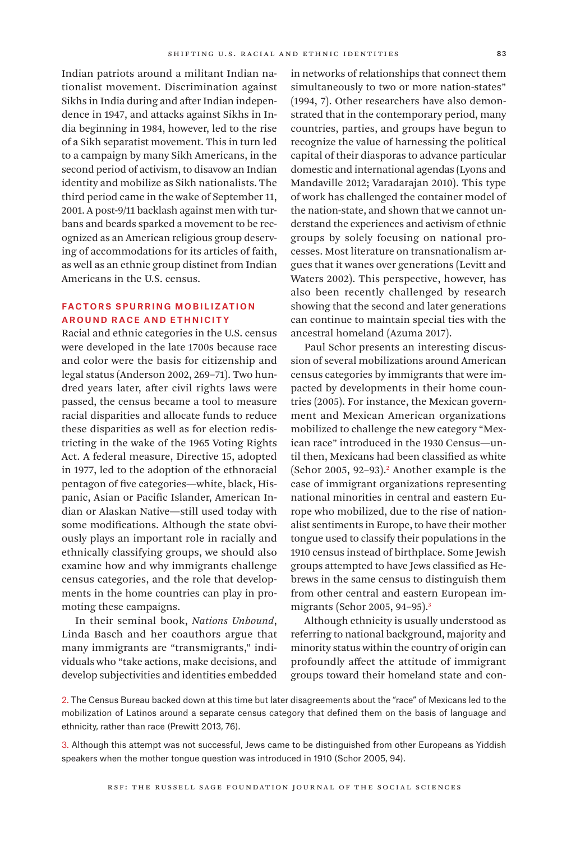Indian patriots around a militant Indian nationalist movement. Discrimination against Sikhs in India during and after Indian independence in 1947, and attacks against Sikhs in India beginning in 1984, however, led to the rise of a Sikh separatist movement. This in turn led to a campaign by many Sikh Americans, in the second period of activism, to disavow an Indian identity and mobilize as Sikh nationalists. The third period came in the wake of September 11, 2001. A post-9/11 backlash against men with turbans and beards sparked a movement to be recognized as an American religious group deserving of accommodations for its articles of faith, as well as an ethnic group distinct from Indian Americans in the U.S. census.

#### Factors Spurring Mobilization **AROUND RACE AND ETHNICITY**

Racial and ethnic categories in the U.S. census were developed in the late 1700s because race and color were the basis for citizenship and legal status (Anderson 2002, 269–71). Two hundred years later, after civil rights laws were passed, the census became a tool to measure racial disparities and allocate funds to reduce these disparities as well as for election redistricting in the wake of the 1965 Voting Rights Act. A federal measure, Directive 15, adopted in 1977, led to the adoption of the ethnoracial pentagon of five categories—white, black, Hispanic, Asian or Pacific Islander, American Indian or Alaskan Native—still used today with some modifications. Although the state obviously plays an important role in racially and ethnically classifying groups, we should also examine how and why immigrants challenge census categories, and the role that developments in the home countries can play in promoting these campaigns.

In their seminal book, *Nations Unbound*, Linda Basch and her coauthors argue that many immigrants are "transmigrants," individuals who "take actions, make decisions, and develop subjectivities and identities embedded

in networks of relationships that connect them simultaneously to two or more nation-states" (1994, 7). Other researchers have also demonstrated that in the contemporary period, many countries, parties, and groups have begun to recognize the value of harnessing the political capital of their diasporas to advance particular domestic and international agendas (Lyons and Mandaville 2012; Varadarajan 2010). This type of work has challenged the container model of the nation-state, and shown that we cannot understand the experiences and activism of ethnic groups by solely focusing on national processes. Most literature on transnationalism argues that it wanes over generations (Levitt and Waters 2002). This perspective, however, has also been recently challenged by research showing that the second and later generations can continue to maintain special ties with the ancestral homeland (Azuma 2017).

Paul Schor presents an interesting discussion of several mobilizations around American census categories by immigrants that were impacted by developments in their home countries (2005). For instance, the Mexican government and Mexican American organizations mobilized to challenge the new category "Mexican race" introduced in the 1930 Census—until then, Mexicans had been classified as white  $(Schor 2005, 92-93).<sup>2</sup>$  Another example is the case of immigrant organizations representing national minorities in central and eastern Europe who mobilized, due to the rise of nationalist sentiments in Europe, to have their mother tongue used to classify their populations in the 1910 census instead of birthplace. Some Jewish groups attempted to have Jews classified as Hebrews in the same census to distinguish them from other central and eastern European immigrants (Schor 2005, 94–95).3

Although ethnicity is usually understood as referring to national background, majority and minority status within the country of origin can profoundly affect the attitude of immigrant groups toward their homeland state and con-

2. The Census Bureau backed down at this time but later disagreements about the "race" of Mexicans led to the mobilization of Latinos around a separate census category that defined them on the basis of language and ethnicity, rather than race (Prewitt 2013, 76).

3. Although this attempt was not successful, Jews came to be distinguished from other Europeans as Yiddish speakers when the mother tongue question was introduced in 1910 (Schor 2005, 94).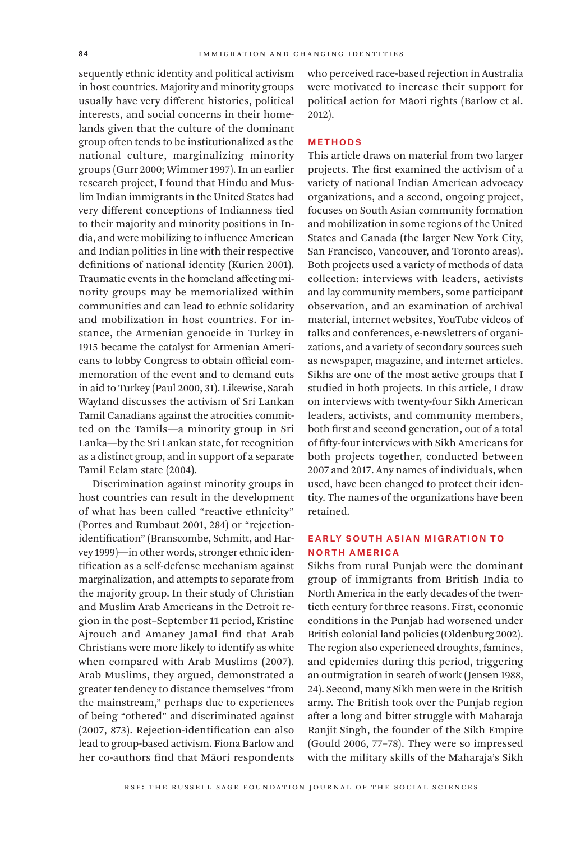sequently ethnic identity and political activism in host countries. Majority and minority groups usually have very different histories, political interests, and social concerns in their homelands given that the culture of the dominant group often tends to be institutionalized as the national culture, marginalizing minority groups (Gurr 2000; Wimmer 1997). In an earlier research project, I found that Hindu and Muslim Indian immigrants in the United States had very different conceptions of Indianness tied to their majority and minority positions in India, and were mobilizing to influence American and Indian politics in line with their respective definitions of national identity (Kurien 2001). Traumatic events in the homeland affecting minority groups may be memorialized within communities and can lead to ethnic solidarity and mobilization in host countries. For instance, the Armenian genocide in Turkey in 1915 became the catalyst for Armenian Americans to lobby Congress to obtain official commemoration of the event and to demand cuts in aid to Turkey (Paul 2000, 31). Likewise, Sarah Wayland discusses the activism of Sri Lankan Tamil Canadians against the atrocities committed on the Tamils—a minority group in Sri Lanka—by the Sri Lankan state, for recognition as a distinct group, and in support of a separate Tamil Eelam state (2004).

Discrimination against minority groups in host countries can result in the development of what has been called "reactive ethnicity" (Portes and Rumbaut 2001, 284) or "rejectionidentification" (Branscombe, Schmitt, and Harvey 1999)—in other words, stronger ethnic identification as a self-defense mechanism against marginalization, and attempts to separate from the majority group. In their study of Christian and Muslim Arab Americans in the Detroit region in the post–September 11 period, Kristine Ajrouch and Amaney Jamal find that Arab Christians were more likely to identify as white when compared with Arab Muslims (2007). Arab Muslims, they argued, demonstrated a greater tendency to distance themselves "from the mainstream," perhaps due to experiences of being "othered" and discriminated against (2007, 873). Rejection-identification can also lead to group-based activism. Fiona Barlow and her co-authors find that Māori respondents

who perceived race-based rejection in Australia were motivated to increase their support for political action for Māori rights (Barlow et al. 2012).

#### Methods

This article draws on material from two larger projects. The first examined the activism of a variety of national Indian American advocacy organizations, and a second, ongoing project, focuses on South Asian community formation and mobilization in some regions of the United States and Canada (the larger New York City, San Francisco, Vancouver, and Toronto areas). Both projects used a variety of methods of data collection: interviews with leaders, activists and lay community members, some participant observation, and an examination of archival material, internet websites, YouTube videos of talks and conferences, e-newsletters of organizations, and a variety of secondary sources such as newspaper, magazine, and internet articles. Sikhs are one of the most active groups that I studied in both projects. In this article, I draw on interviews with twenty-four Sikh American leaders, activists, and community members, both first and second generation, out of a total of fifty-four interviews with Sikh Americans for both projects together, conducted between 2007 and 2017. Any names of individuals, when used, have been changed to protect their identity. The names of the organizations have been retained.

### Early South Asian Migration to North America

Sikhs from rural Punjab were the dominant group of immigrants from British India to North America in the early decades of the twentieth century for three reasons. First, economic conditions in the Punjab had worsened under British colonial land policies (Oldenburg 2002). The region also experienced droughts, famines, and epidemics during this period, triggering an outmigration in search of work (Jensen 1988, 24). Second, many Sikh men were in the British army. The British took over the Punjab region after a long and bitter struggle with Maharaja Ranjit Singh, the founder of the Sikh Empire (Gould 2006, 77–78). They were so impressed with the military skills of the Maharaja's Sikh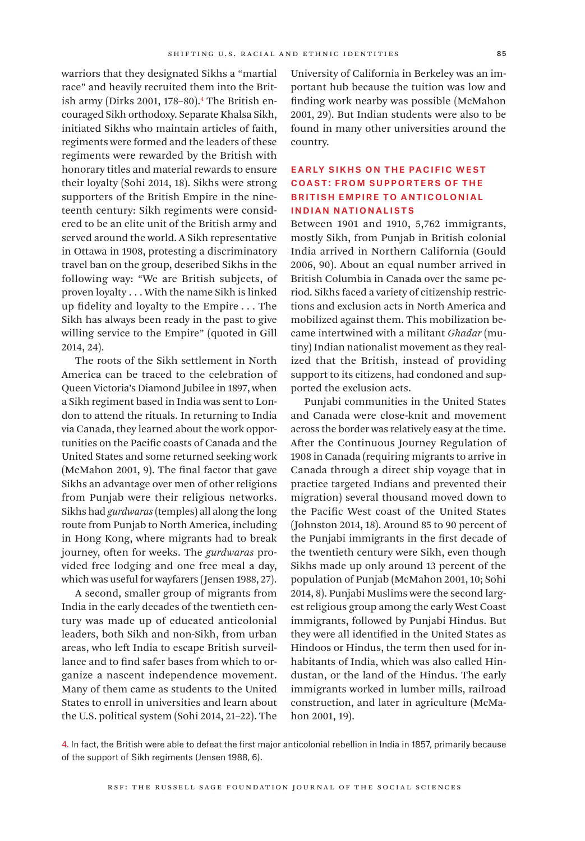warriors that they designated Sikhs a "martial race" and heavily recruited them into the British army (Dirks 2001, 178–80).4 The British encouraged Sikh orthodoxy. Separate Khalsa Sikh, initiated Sikhs who maintain articles of faith, regiments were formed and the leaders of these regiments were rewarded by the British with honorary titles and material rewards to ensure their loyalty (Sohi 2014, 18). Sikhs were strong supporters of the British Empire in the nineteenth century: Sikh regiments were considered to be an elite unit of the British army and served around the world. A Sikh representative in Ottawa in 1908, protesting a discriminatory travel ban on the group, described Sikhs in the following way: "We are British subjects, of proven loyalty . . . With the name Sikh is linked up fidelity and loyalty to the Empire . . . The Sikh has always been ready in the past to give willing service to the Empire" (quoted in Gill 2014, 24).

The roots of the Sikh settlement in North America can be traced to the celebration of Queen Victoria's Diamond Jubilee in 1897, when a Sikh regiment based in India was sent to London to attend the rituals. In returning to India via Canada, they learned about the work opportunities on the Pacific coasts of Canada and the United States and some returned seeking work (McMahon 2001, 9). The final factor that gave Sikhs an advantage over men of other religions from Punjab were their religious networks. Sikhs had *gurdwaras* (temples) all along the long route from Punjab to North America, including in Hong Kong, where migrants had to break journey, often for weeks. The *gurdwaras* provided free lodging and one free meal a day, which was useful for wayfarers (Jensen 1988, 27).

A second, smaller group of migrants from India in the early decades of the twentieth century was made up of educated anticolonial leaders, both Sikh and non-Sikh, from urban areas, who left India to escape British surveillance and to find safer bases from which to organize a nascent independence movement. Many of them came as students to the United States to enroll in universities and learn about the U.S. political system (Sohi 2014, 21–22). The

University of California in Berkeley was an important hub because the tuition was low and finding work nearby was possible (McMahon 2001, 29). But Indian students were also to be found in many other universities around the country.

# Early Sikhs on the Pacific West Coast: From Supporters of the British Empire to Anticolonial Indian Nationalists

Between 1901 and 1910, 5,762 immigrants, mostly Sikh, from Punjab in British colonial India arrived in Northern California (Gould 2006, 90). About an equal number arrived in British Columbia in Canada over the same period. Sikhs faced a variety of citizenship restrictions and exclusion acts in North America and mobilized against them. This mobilization became intertwined with a militant *Ghadar* (mutiny) Indian nationalist movement as they realized that the British, instead of providing support to its citizens, had condoned and supported the exclusion acts.

Punjabi communities in the United States and Canada were close-knit and movement across the border was relatively easy at the time. After the Continuous Journey Regulation of 1908 in Canada (requiring migrants to arrive in Canada through a direct ship voyage that in practice targeted Indians and prevented their migration) several thousand moved down to the Pacific West coast of the United States (Johnston 2014, 18). Around 85 to 90 percent of the Punjabi immigrants in the first decade of the twentieth century were Sikh, even though Sikhs made up only around 13 percent of the population of Punjab (McMahon 2001, 10; Sohi 2014, 8). Punjabi Muslims were the second largest religious group among the early West Coast immigrants, followed by Punjabi Hindus. But they were all identified in the United States as Hindoos or Hindus, the term then used for inhabitants of India, which was also called Hindustan, or the land of the Hindus. The early immigrants worked in lumber mills, railroad construction, and later in agriculture (McMahon 2001, 19).

4. In fact, the British were able to defeat the first major anticolonial rebellion in India in 1857, primarily because of the support of Sikh regiments (Jensen 1988, 6).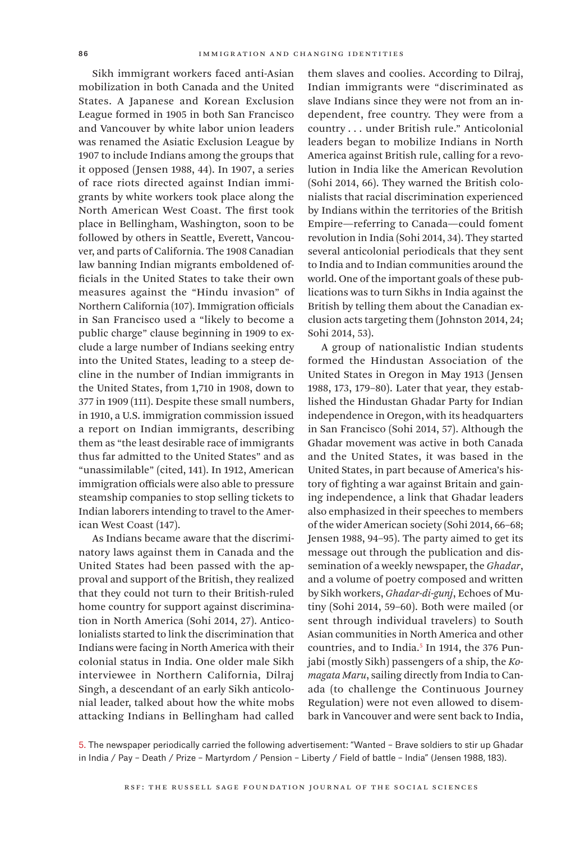Sikh immigrant workers faced anti-Asian mobilization in both Canada and the United States. A Japanese and Korean Exclusion League formed in 1905 in both San Francisco and Vancouver by white labor union leaders was renamed the Asiatic Exclusion League by 1907 to include Indians among the groups that it opposed (Jensen 1988, 44). In 1907, a series of race riots directed against Indian immigrants by white workers took place along the North American West Coast. The first took place in Bellingham, Washington, soon to be followed by others in Seattle, Everett, Vancouver, and parts of California. The 1908 Canadian law banning Indian migrants emboldened officials in the United States to take their own measures against the "Hindu invasion" of Northern California (107). Immigration officials in San Francisco used a "likely to become a public charge" clause beginning in 1909 to exclude a large number of Indians seeking entry into the United States, leading to a steep decline in the number of Indian immigrants in the United States, from 1,710 in 1908, down to 377 in 1909 (111). Despite these small numbers, in 1910, a U.S. immigration commission issued a report on Indian immigrants, describing them as "the least desirable race of immigrants thus far admitted to the United States" and as "unassimilable" (cited, 141). In 1912, American immigration officials were also able to pressure steamship companies to stop selling tickets to Indian laborers intending to travel to the American West Coast (147).

As Indians became aware that the discriminatory laws against them in Canada and the United States had been passed with the approval and support of the British, they realized that they could not turn to their British-ruled home country for support against discrimination in North America (Sohi 2014, 27). Anticolonialists started to link the discrimination that Indians were facing in North America with their colonial status in India. One older male Sikh interviewee in Northern California, Dilraj Singh, a descendant of an early Sikh anticolonial leader, talked about how the white mobs attacking Indians in Bellingham had called them slaves and coolies. According to Dilraj, Indian immigrants were "discriminated as slave Indians since they were not from an independent, free country. They were from a country . . . under British rule." Anticolonial leaders began to mobilize Indians in North America against British rule, calling for a revolution in India like the American Revolution (Sohi 2014, 66). They warned the British colonialists that racial discrimination experienced by Indians within the territories of the British Empire—referring to Canada—could foment revolution in India (Sohi 2014, 34). They started several anticolonial periodicals that they sent to India and to Indian communities around the world. One of the important goals of these publications was to turn Sikhs in India against the British by telling them about the Canadian exclusion acts targeting them (Johnston 2014, 24; Sohi 2014, 53).

A group of nationalistic Indian students formed the Hindustan Association of the United States in Oregon in May 1913 (Jensen 1988, 173, 179–80). Later that year, they established the Hindustan Ghadar Party for Indian independence in Oregon, with its headquarters in San Francisco (Sohi 2014, 57). Although the Ghadar movement was active in both Canada and the United States, it was based in the United States, in part because of America's history of fighting a war against Britain and gaining independence, a link that Ghadar leaders also emphasized in their speeches to members of the wider American society (Sohi 2014, 66–68; Jensen 1988, 94–95). The party aimed to get its message out through the publication and dissemination of a weekly newspaper, the *Ghadar*, and a volume of poetry composed and written by Sikh workers, *Ghadar-di-gunj*, Echoes of Mutiny (Sohi 2014, 59–60). Both were mailed (or sent through individual travelers) to South Asian communities in North America and other countries, and to India.5 In 1914, the 376 Punjabi (mostly Sikh) passengers of a ship, the *Komagata Maru*, sailing directly from India to Canada (to challenge the Continuous Journey Regulation) were not even allowed to disembark in Vancouver and were sent back to India,

5. The newspaper periodically carried the following advertisement: "Wanted – Brave soldiers to stir up Ghadar in India / Pay – Death / Prize – Martyrdom / Pension – Liberty / Field of battle – India" (Jensen 1988, 183).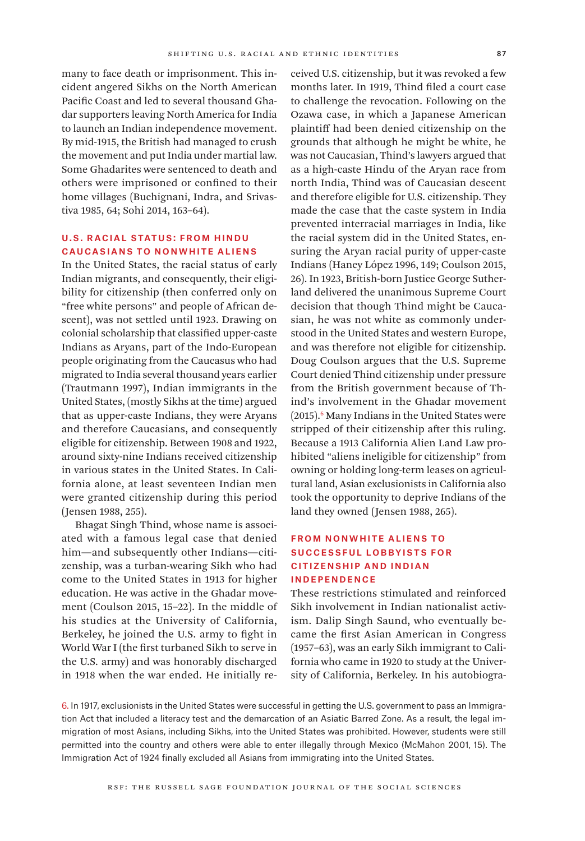many to face death or imprisonment. This incident angered Sikhs on the North American Pacific Coast and led to several thousand Ghadar supporters leaving North America for India to launch an Indian independence movement. By mid-1915, the British had managed to crush the movement and put India under martial law. Some Ghadarites were sentenced to death and others were imprisoned or confined to their home villages (Buchignani, Indra, and Srivastiva 1985, 64; Sohi 2014, 163–64).

### U.S. Racial Status: From Hindu Caucasians to Nonwhite Aliens

In the United States, the racial status of early Indian migrants, and consequently, their eligibility for citizenship (then conferred only on "free white persons" and people of African descent), was not settled until 1923. Drawing on colonial scholarship that classified upper-caste Indians as Aryans, part of the Indo-European people originating from the Caucasus who had migrated to India several thousand years earlier (Trautmann 1997), Indian immigrants in the United States, (mostly Sikhs at the time) argued that as upper-caste Indians, they were Aryans and therefore Caucasians, and consequently eligible for citizenship. Between 1908 and 1922, around sixty-nine Indians received citizenship in various states in the United States. In California alone, at least seventeen Indian men were granted citizenship during this period (Jensen 1988, 255).

Bhagat Singh Thind, whose name is associated with a famous legal case that denied him—and subsequently other Indians—citizenship, was a turban-wearing Sikh who had come to the United States in 1913 for higher education. He was active in the Ghadar movement (Coulson 2015, 15–22). In the middle of his studies at the University of California, Berkeley, he joined the U.S. army to fight in World War I (the first turbaned Sikh to serve in the U.S. army) and was honorably discharged in 1918 when the war ended. He initially received U.S. citizenship, but it was revoked a few months later. In 1919, Thind filed a court case to challenge the revocation. Following on the Ozawa case, in which a Japanese American plaintiff had been denied citizenship on the grounds that although he might be white, he was not Caucasian, Thind's lawyers argued that as a high-caste Hindu of the Aryan race from north India, Thind was of Caucasian descent and therefore eligible for U.S. citizenship. They made the case that the caste system in India prevented interracial marriages in India, like the racial system did in the United States, ensuring the Aryan racial purity of upper-caste Indians (Haney López 1996, 149; Coulson 2015, 26). In 1923, British-born Justice George Sutherland delivered the unanimous Supreme Court decision that though Thind might be Caucasian, he was not white as commonly understood in the United States and western Europe, and was therefore not eligible for citizenship. Doug Coulson argues that the U.S. Supreme Court denied Thind citizenship under pressure from the British government because of Thind's involvement in the Ghadar movement (2015).6 Many Indians in the United States were stripped of their citizenship after this ruling. Because a 1913 California Alien Land Law prohibited "aliens ineligible for citizenship" from owning or holding long-term leases on agricultural land, Asian exclusionists in California also took the opportunity to deprive Indians of the land they owned (Jensen 1988, 265).

#### From Nonwhite Aliens to Successful Lobbyists for Citizenship and Indian Independence

These restrictions stimulated and reinforced Sikh involvement in Indian nationalist activism. Dalip Singh Saund, who eventually became the first Asian American in Congress (1957–63), was an early Sikh immigrant to California who came in 1920 to study at the University of California, Berkeley. In his autobiogra-

6. In 1917, exclusionists in the United States were successful in getting the U.S. government to pass an Immigration Act that included a literacy test and the demarcation of an Asiatic Barred Zone. As a result, the legal immigration of most Asians, including Sikhs, into the United States was prohibited. However, students were still permitted into the country and others were able to enter illegally through Mexico (McMahon 2001, 15). The Immigration Act of 1924 finally excluded all Asians from immigrating into the United States.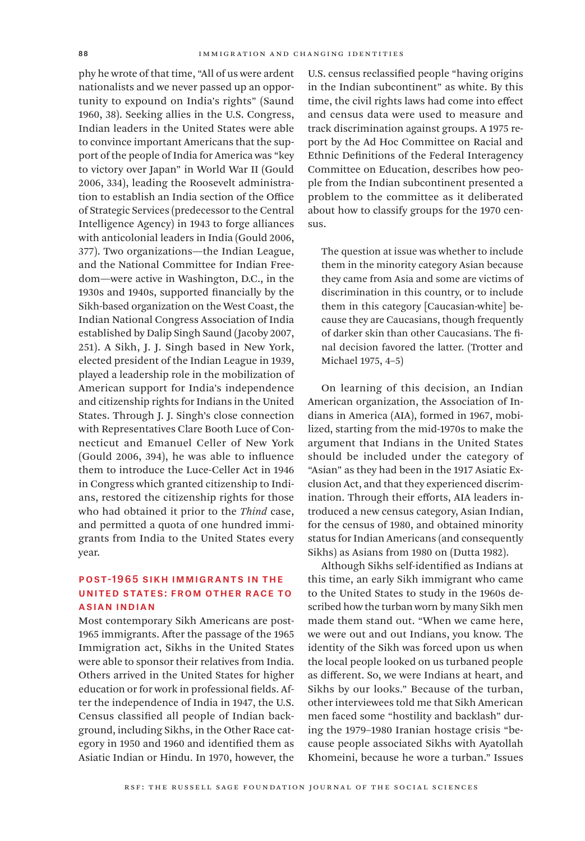phy he wrote of that time, "All of us were ardent nationalists and we never passed up an opportunity to expound on India's rights" (Saund 1960, 38). Seeking allies in the U.S. Congress, Indian leaders in the United States were able to convince important Americans that the support of the people of India for America was "key to victory over Japan" in World War II (Gould 2006, 334), leading the Roosevelt administration to establish an India section of the Office of Strategic Services (predecessor to the Central Intelligence Agency) in 1943 to forge alliances with anticolonial leaders in India (Gould 2006, 377). Two organizations—the Indian League, and the National Committee for Indian Freedom—were active in Washington, D.C., in the 1930s and 1940s, supported financially by the Sikh-based organization on the West Coast, the Indian National Congress Association of India established by Dalip Singh Saund (Jacoby 2007, 251). A Sikh, J. J. Singh based in New York, elected president of the Indian League in 1939, played a leadership role in the mobilization of American support for India's independence and citizenship rights for Indians in the United States. Through J. J. Singh's close connection with Representatives Clare Booth Luce of Connecticut and Emanuel Celler of New York (Gould 2006, 394), he was able to influence them to introduce the Luce-Celler Act in 1946 in Congress which granted citizenship to Indians, restored the citizenship rights for those who had obtained it prior to the *Thind* case, and permitted a quota of one hundred immigrants from India to the United States every year.

#### Post-1965 Sikh Immigrants in the United States: From Other Race to Asian Indian

Most contemporary Sikh Americans are post-1965 immigrants. After the passage of the 1965 Immigration act, Sikhs in the United States were able to sponsor their relatives from India. Others arrived in the United States for higher education or for work in professional fields. After the independence of India in 1947, the U.S. Census classified all people of Indian background, including Sikhs, in the Other Race category in 1950 and 1960 and identified them as Asiatic Indian or Hindu. In 1970, however, the U.S. census reclassified people "having origins in the Indian subcontinent" as white. By this time, the civil rights laws had come into effect and census data were used to measure and track discrimination against groups. A 1975 report by the Ad Hoc Committee on Racial and Ethnic Definitions of the Federal Interagency Committee on Education, describes how people from the Indian subcontinent presented a problem to the committee as it deliberated about how to classify groups for the 1970 census.

The question at issue was whether to include them in the minority category Asian because they came from Asia and some are victims of discrimination in this country, or to include them in this category [Caucasian-white] because they are Caucasians, though frequently of darker skin than other Caucasians. The final decision favored the latter. (Trotter and Michael 1975, 4–5)

On learning of this decision, an Indian American organization, the Association of Indians in America (AIA), formed in 1967, mobilized, starting from the mid-1970s to make the argument that Indians in the United States should be included under the category of "Asian" as they had been in the 1917 Asiatic Exclusion Act, and that they experienced discrimination. Through their efforts, AIA leaders introduced a new census category, Asian Indian, for the census of 1980, and obtained minority status for Indian Americans (and consequently Sikhs) as Asians from 1980 on (Dutta 1982).

Although Sikhs self-identified as Indians at this time, an early Sikh immigrant who came to the United States to study in the 1960s described how the turban worn by many Sikh men made them stand out. "When we came here, we were out and out Indians, you know. The identity of the Sikh was forced upon us when the local people looked on us turbaned people as different. So, we were Indians at heart, and Sikhs by our looks." Because of the turban, other interviewees told me that Sikh American men faced some "hostility and backlash" during the 1979–1980 Iranian hostage crisis "because people associated Sikhs with Ayatollah Khomeini, because he wore a turban." Issues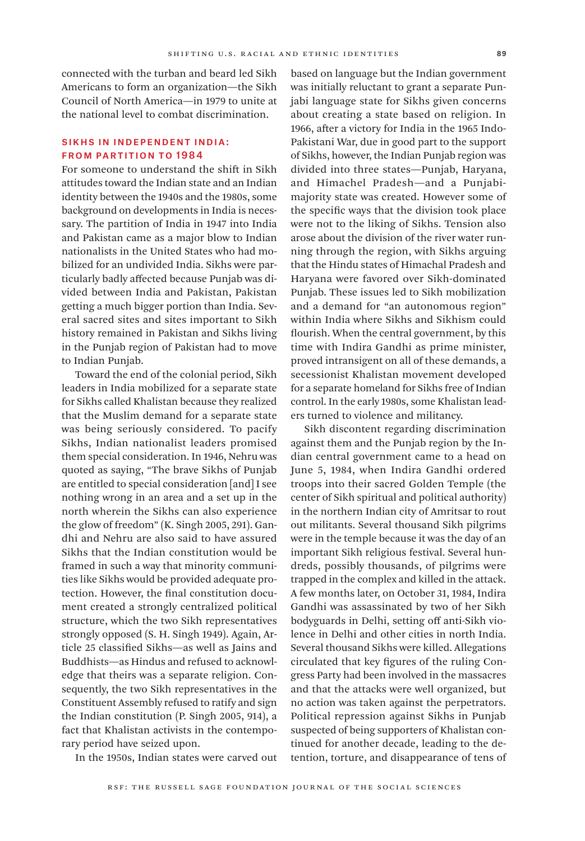connected with the turban and beard led Sikh Americans to form an organization—the Sikh Council of North America—in 1979 to unite at the national level to combat discrimination.

### Sikhs in Independent India: From Partition to 1984

For someone to understand the shift in Sikh attitudes toward the Indian state and an Indian identity between the 1940s and the 1980s, some background on developments in India is necessary. The partition of India in 1947 into India and Pakistan came as a major blow to Indian nationalists in the United States who had mobilized for an undivided India. Sikhs were particularly badly affected because Punjab was divided between India and Pakistan, Pakistan getting a much bigger portion than India. Several sacred sites and sites important to Sikh history remained in Pakistan and Sikhs living in the Punjab region of Pakistan had to move to Indian Punjab.

Toward the end of the colonial period, Sikh leaders in India mobilized for a separate state for Sikhs called Khalistan because they realized that the Muslim demand for a separate state was being seriously considered. To pacify Sikhs, Indian nationalist leaders promised them special consideration. In 1946, Nehru was quoted as saying, "The brave Sikhs of Punjab are entitled to special consideration [and] I see nothing wrong in an area and a set up in the north wherein the Sikhs can also experience the glow of freedom" (K. Singh 2005, 291). Gandhi and Nehru are also said to have assured Sikhs that the Indian constitution would be framed in such a way that minority communities like Sikhs would be provided adequate protection. However, the final constitution document created a strongly centralized political structure, which the two Sikh representatives strongly opposed (S. H. Singh 1949). Again, Article 25 classified Sikhs—as well as Jains and Buddhists—as Hindus and refused to acknowledge that theirs was a separate religion. Consequently, the two Sikh representatives in the Constituent Assembly refused to ratify and sign the Indian constitution (P. Singh 2005, 914), a fact that Khalistan activists in the contemporary period have seized upon.

In the 1950s, Indian states were carved out

based on language but the Indian government was initially reluctant to grant a separate Punjabi language state for Sikhs given concerns about creating a state based on religion. In 1966, after a victory for India in the 1965 Indo-Pakistani War, due in good part to the support of Sikhs, however, the Indian Punjab region was divided into three states—Punjab, Haryana, and Himachel Pradesh—and a Punjabimajority state was created. However some of the specific ways that the division took place were not to the liking of Sikhs. Tension also arose about the division of the river water running through the region, with Sikhs arguing that the Hindu states of Himachal Pradesh and Haryana were favored over Sikh-dominated Punjab. These issues led to Sikh mobilization and a demand for "an autonomous region" within India where Sikhs and Sikhism could flourish. When the central government, by this time with Indira Gandhi as prime minister, proved intransigent on all of these demands, a secessionist Khalistan movement developed for a separate homeland for Sikhs free of Indian control. In the early 1980s, some Khalistan leaders turned to violence and militancy.

Sikh discontent regarding discrimination against them and the Punjab region by the Indian central government came to a head on June 5, 1984, when Indira Gandhi ordered troops into their sacred Golden Temple (the center of Sikh spiritual and political authority) in the northern Indian city of Amritsar to rout out militants. Several thousand Sikh pilgrims were in the temple because it was the day of an important Sikh religious festival. Several hundreds, possibly thousands, of pilgrims were trapped in the complex and killed in the attack. A few months later, on October 31, 1984, Indira Gandhi was assassinated by two of her Sikh bodyguards in Delhi, setting off anti-Sikh violence in Delhi and other cities in north India. Several thousand Sikhs were killed. Allegations circulated that key figures of the ruling Congress Party had been involved in the massacres and that the attacks were well organized, but no action was taken against the perpetrators. Political repression against Sikhs in Punjab suspected of being supporters of Khalistan continued for another decade, leading to the detention, torture, and disappearance of tens of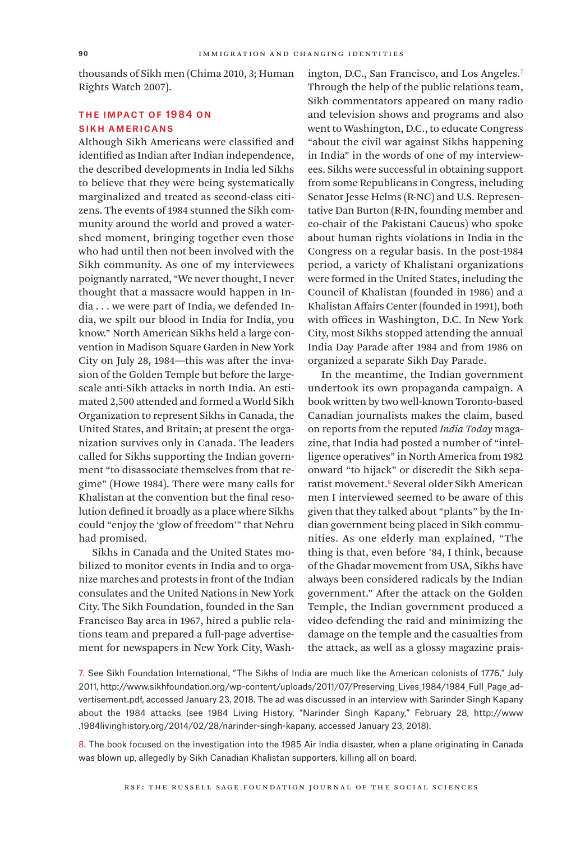thousands of Sikh men (Chima 2010, 3; Human Rights Watch 2007).

## THE IMPACT OF 1984 ON Sikh Americans

Although Sikh Americans were classified and identified as Indian after Indian independence, the described developments in India led Sikhs to believe that they were being systematically marginalized and treated as second-class citizens. The events of 1984 stunned the Sikh community around the world and proved a watershed moment, bringing together even those who had until then not been involved with the Sikh community. As one of my interviewees poignantly narrated, "We never thought, I never thought that a massacre would happen in India . . . we were part of India, we defended India, we spilt our blood in India for India, you know." North American Sikhs held a large convention in Madison Square Garden in New York City on July 28, 1984—this was after the invasion of the Golden Temple but before the largescale anti-Sikh attacks in north India. An estimated 2,500 attended and formed a World Sikh Organization to represent Sikhs in Canada, the United States, and Britain; at present the organization survives only in Canada. The leaders called for Sikhs supporting the Indian government "to disassociate themselves from that regime" (Howe 1984). There were many calls for Khalistan at the convention but the final resolution defined it broadly as a place where Sikhs could "enjoy the 'glow of freedom'" that Nehru had promised.

Sikhs in Canada and the United States mobilized to monitor events in India and to organize marches and protests in front of the Indian consulates and the United Nations in New York City. The Sikh Foundation, founded in the San Francisco Bay area in 1967, hired a public relations team and prepared a full-page advertisement for newspapers in New York City, Washington, D.C., San Francisco, and Los Angeles.<sup>7</sup> Through the help of the public relations team, Sikh commentators appeared on many radio and television shows and programs and also went to Washington, D.C., to educate Congress "about the civil war against Sikhs happening in India" in the words of one of my interviewees. Sikhs were successful in obtaining support from some Republicans in Congress, including Senator Jesse Helms (R-NC) and U.S. Representative Dan Burton (R-IN, founding member and co-chair of the Pakistani Caucus) who spoke about human rights violations in India in the Congress on a regular basis. In the post-1984 period, a variety of Khalistani organizations were formed in the United States, including the Council of Khalistan (founded in 1986) and a Khalistan Affairs Center (founded in 1991), both with offices in Washington, D.C. In New York City, most Sikhs stopped attending the annual India Day Parade after 1984 and from 1986 on organized a separate Sikh Day Parade.

In the meantime, the Indian government undertook its own propaganda campaign. A book written by two well-known Toronto-based Canadian journalists makes the claim, based on reports from the reputed *India Today* magazine, that India had posted a number of "intelligence operatives" in North America from 1982 onward "to hijack" or discredit the Sikh separatist movement.8 Several older Sikh American men I interviewed seemed to be aware of this given that they talked about "plants" by the Indian government being placed in Sikh communities. As one elderly man explained, "The thing is that, even before '84, I think, because of the Ghadar movement from USA, Sikhs have always been considered radicals by the Indian government." After the attack on the Golden Temple, the Indian government produced a video defending the raid and minimizing the damage on the temple and the casualties from the attack, as well as a glossy magazine prais-

7. See Sikh Foundation International, "The Sikhs of India are much like the American colonists of 1776," July 2011, [http://www.sikhfoundation.org/wp-content/uploads/2011/07/Preserving\\_Lives\\_1984/1984\\_Full\\_Page\\_ad](http://www.sikhfoundation.org/wp-content/uploads/2011/07/Preserving_Lives_1984/1984_Full_Page_advertisement.pdf)[vertisement.pdf,](http://www.sikhfoundation.org/wp-content/uploads/2011/07/Preserving_Lives_1984/1984_Full_Page_advertisement.pdf) accessed January 23, 2018. The ad was discussed in an interview with Sarinder Singh Kapany about the 1984 attacks (see 1984 Living History, "Narinder Singh Kapany," February 28, [http://www](http://www.1984livinghistory.org/2014/02/28/narinder-singh-kapany) [.1984livinghistory.org/2014/02/28/narinder-singh-kapany,](http://www.1984livinghistory.org/2014/02/28/narinder-singh-kapany) accessed January 23, 2018).

8. The book focused on the investigation into the 1985 Air India disaster, when a plane originating in Canada was blown up, allegedly by Sikh Canadian Khalistan supporters, killing all on board.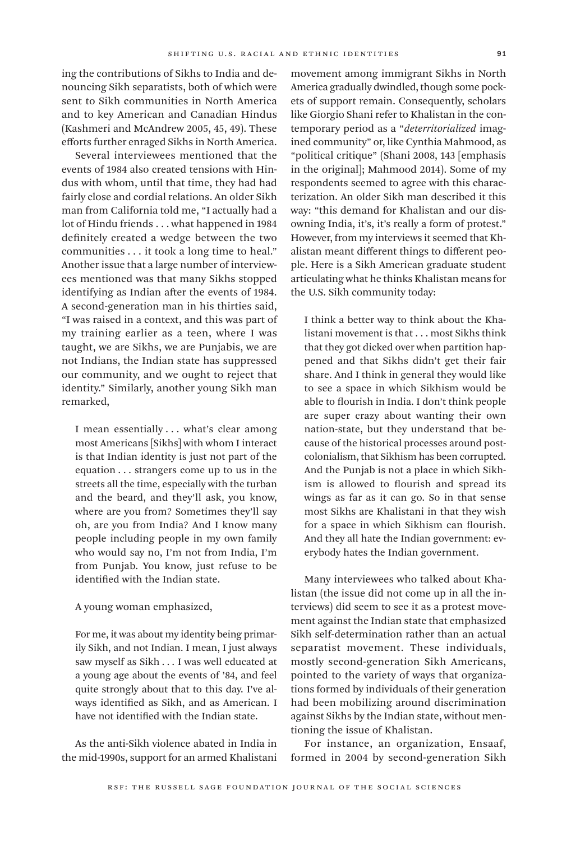ing the contributions of Sikhs to India and denouncing Sikh separatists, both of which were sent to Sikh communities in North America and to key American and Canadian Hindus (Kashmeri and McAndrew 2005, 45, 49). These efforts further enraged Sikhs in North America.

Several interviewees mentioned that the events of 1984 also created tensions with Hindus with whom, until that time, they had had fairly close and cordial relations. An older Sikh man from California told me, "I actually had a lot of Hindu friends . . . what happened in 1984 definitely created a wedge between the two communities . . . it took a long time to heal." Another issue that a large number of interviewees mentioned was that many Sikhs stopped identifying as Indian after the events of 1984. A second-generation man in his thirties said, "I was raised in a context, and this was part of my training earlier as a teen, where I was taught, we are Sikhs, we are Punjabis, we are not Indians, the Indian state has suppressed our community, and we ought to reject that identity." Similarly, another young Sikh man remarked,

I mean essentially ... what's clear among most Americans [Sikhs] with whom I interact is that Indian identity is just not part of the equation . . . strangers come up to us in the streets all the time, especially with the turban and the beard, and they'll ask, you know, where are you from? Sometimes they'll say oh, are you from India? And I know many people including people in my own family who would say no, I'm not from India, I'm from Punjab. You know, just refuse to be identified with the Indian state.

#### A young woman emphasized,

For me, it was about my identity being primarily Sikh, and not Indian. I mean, I just always saw myself as Sikh . . . I was well educated at a young age about the events of '84, and feel quite strongly about that to this day. I've always identified as Sikh, and as American. I have not identified with the Indian state.

As the anti-Sikh violence abated in India in the mid-1990s, support for an armed Khalistani

movement among immigrant Sikhs in North America gradually dwindled, though some pockets of support remain. Consequently, scholars like Giorgio Shani refer to Khalistan in the contemporary period as a "*deterritorialized* imagined community" or, like Cynthia Mahmood, as "political critique" (Shani 2008, 143 [emphasis in the original]; Mahmood 2014). Some of my respondents seemed to agree with this characterization. An older Sikh man described it this way: "this demand for Khalistan and our disowning India, it's, it's really a form of protest." However, from my interviews it seemed that Khalistan meant different things to different people. Here is a Sikh American graduate student articulating what he thinks Khalistan means for the U.S. Sikh community today:

I think a better way to think about the Khalistani movement is that . . . most Sikhs think that they got dicked over when partition happened and that Sikhs didn't get their fair share. And I think in general they would like to see a space in which Sikhism would be able to flourish in India. I don't think people are super crazy about wanting their own nation-state, but they understand that because of the historical processes around postcolonialism, that Sikhism has been corrupted. And the Punjab is not a place in which Sikhism is allowed to flourish and spread its wings as far as it can go. So in that sense most Sikhs are Khalistani in that they wish for a space in which Sikhism can flourish. And they all hate the Indian government: everybody hates the Indian government.

Many interviewees who talked about Khalistan (the issue did not come up in all the interviews) did seem to see it as a protest movement against the Indian state that emphasized Sikh self-determination rather than an actual separatist movement. These individuals, mostly second-generation Sikh Americans, pointed to the variety of ways that organizations formed by individuals of their generation had been mobilizing around discrimination against Sikhs by the Indian state, without mentioning the issue of Khalistan.

For instance, an organization, Ensaaf, formed in 2004 by second-generation Sikh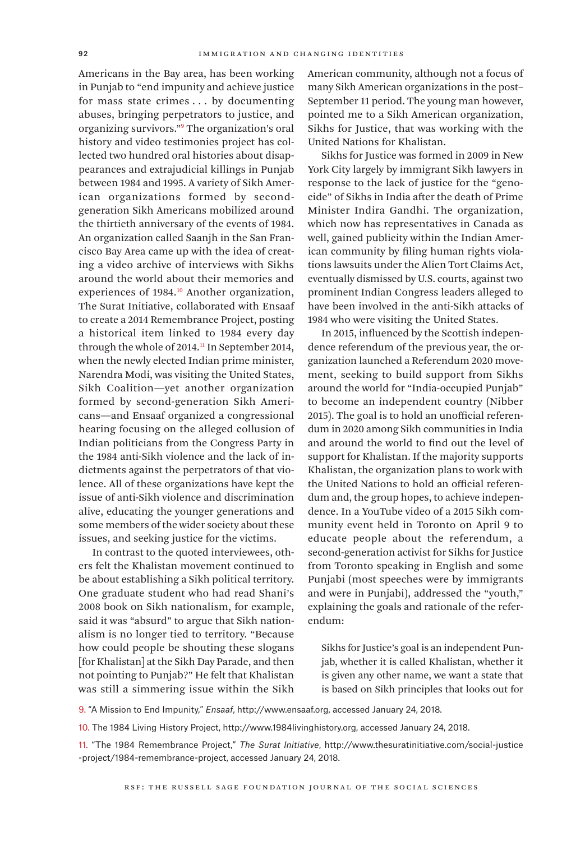Americans in the Bay area, has been working in Punjab to "end impunity and achieve justice for mass state crimes . . . by documenting abuses, bringing perpetrators to justice, and organizing survivors."9 The organization's oral history and video testimonies project has collected two hundred oral histories about disappearances and extrajudicial killings in Punjab between 1984 and 1995. A variety of Sikh American organizations formed by secondgeneration Sikh Americans mobilized around the thirtieth anniversary of the events of 1984. An organization called Saanjh in the San Francisco Bay Area came up with the idea of creating a video archive of interviews with Sikhs around the world about their memories and experiences of 1984.<sup>10</sup> Another organization, The Surat Initiative, collaborated with Ensaaf to create a 2014 Remembrance Project, posting a historical item linked to 1984 every day through the whole of 2014.<sup>11</sup> In September 2014, when the newly elected Indian prime minister, Narendra Modi, was visiting the United States, Sikh Coalition—yet another organization formed by second-generation Sikh Americans—and Ensaaf organized a congressional hearing focusing on the alleged collusion of Indian politicians from the Congress Party in the 1984 anti-Sikh violence and the lack of indictments against the perpetrators of that violence. All of these organizations have kept the issue of anti-Sikh violence and discrimination alive, educating the younger generations and some members of the wider society about these issues, and seeking justice for the victims.

In contrast to the quoted interviewees, others felt the Khalistan movement continued to be about establishing a Sikh political territory. One graduate student who had read Shani's 2008 book on Sikh nationalism, for example, said it was "absurd" to argue that Sikh nationalism is no longer tied to territory. "Because how could people be shouting these slogans [for Khalistan] at the Sikh Day Parade, and then not pointing to Punjab?" He felt that Khalistan was still a simmering issue within the Sikh

American community, although not a focus of many Sikh American organizations in the post– September 11 period. The young man however, pointed me to a Sikh American organization, Sikhs for Justice, that was working with the United Nations for Khalistan.

Sikhs for Justice was formed in 2009 in New York City largely by immigrant Sikh lawyers in response to the lack of justice for the "genocide" of Sikhs in India after the death of Prime Minister Indira Gandhi. The organization, which now has representatives in Canada as well, gained publicity within the Indian American community by filing human rights violations lawsuits under the Alien Tort Claims Act, eventually dismissed by U.S. courts, against two prominent Indian Congress leaders alleged to have been involved in the anti-Sikh attacks of 1984 who were visiting the United States.

In 2015, influenced by the Scottish independence referendum of the previous year, the organization launched a Referendum 2020 movement, seeking to build support from Sikhs around the world for "India-occupied Punjab" to become an independent country (Nibber 2015). The goal is to hold an unofficial referendum in 2020 among Sikh communities in India and around the world to find out the level of support for Khalistan. If the majority supports Khalistan, the organization plans to work with the United Nations to hold an official referendum and, the group hopes, to achieve independence. In a YouTube video of a 2015 Sikh community event held in Toronto on April 9 to educate people about the referendum, a second-generation activist for Sikhs for Justice from Toronto speaking in English and some Punjabi (most speeches were by immigrants and were in Punjabi), addressed the "youth," explaining the goals and rationale of the referendum:

Sikhs for Justice's goal is an independent Punjab, whether it is called Khalistan, whether it is given any other name, we want a state that is based on Sikh principles that looks out for

9. "A Mission to End Impunity," *Ensaaf*, [http://www.ensaaf.org,](http://www.ensaaf.org) accessed January 24, 2018.

10. The 1984 Living History Project, [http://www.1984livinghistory.org,](http://www.1984livinghistory.org) accessed January 24, 2018.

11. "The 1984 Remembrance Project," *The Surat Initiative*, [http://www.thesuratinitiative.com/social-justice](http://www.thesuratinitiative.com/social-justice-project/1984-remembrance-project) [-project/1984-remembrance-project,](http://www.thesuratinitiative.com/social-justice-project/1984-remembrance-project) accessed January 24, 2018.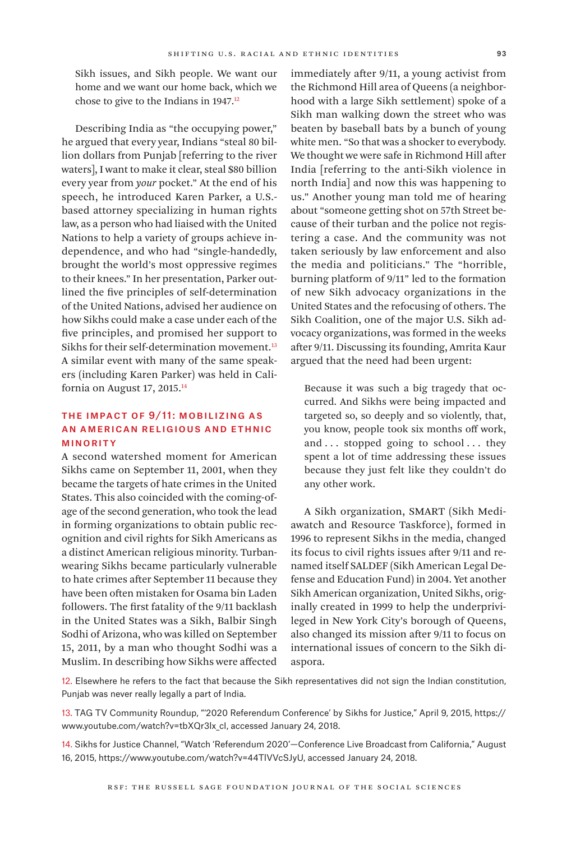Sikh issues, and Sikh people. We want our home and we want our home back, which we chose to give to the Indians in 1947.<sup>12</sup>

Describing India as "the occupying power," he argued that every year, Indians "steal 80 billion dollars from Punjab [referring to the river waters], I want to make it clear, steal \$80 billion every year from *your* pocket." At the end of his speech, he introduced Karen Parker, a U.S. based attorney specializing in human rights law, as a person who had liaised with the United Nations to help a variety of groups achieve independence, and who had "single-handedly, brought the world's most oppressive regimes to their knees." In her presentation, Parker outlined the five principles of self-determination of the United Nations, advised her audience on how Sikhs could make a case under each of the five principles, and promised her support to Sikhs for their self-determination movement.<sup>13</sup> A similar event with many of the same speakers (including Karen Parker) was held in California on August 17, 2015.14

## The Impact of 9/11: Mobilizing as an American Religious and Ethnic **MINORITY**

A second watershed moment for American Sikhs came on September 11, 2001, when they became the targets of hate crimes in the United States. This also coincided with the coming-ofage of the second generation, who took the lead in forming organizations to obtain public recognition and civil rights for Sikh Americans as a distinct American religious minority. Turbanwearing Sikhs became particularly vulnerable to hate crimes after September 11 because they have been often mistaken for Osama bin Laden followers. The first fatality of the 9/11 backlash in the United States was a Sikh, Balbir Singh Sodhi of Arizona, who was killed on September 15, 2011, by a man who thought Sodhi was a Muslim. In describing how Sikhs were affected

immediately after 9/11, a young activist from the Richmond Hill area of Queens (a neighborhood with a large Sikh settlement) spoke of a Sikh man walking down the street who was beaten by baseball bats by a bunch of young white men. "So that was a shocker to everybody. We thought we were safe in Richmond Hill after India [referring to the anti-Sikh violence in north India] and now this was happening to us." Another young man told me of hearing about "someone getting shot on 57th Street because of their turban and the police not registering a case. And the community was not taken seriously by law enforcement and also the media and politicians." The "horrible, burning platform of 9/11" led to the formation of new Sikh advocacy organizations in the United States and the refocusing of others. The Sikh Coalition, one of the major U.S. Sikh advocacy organizations, was formed in the weeks after 9/11. Discussing its founding, Amrita Kaur argued that the need had been urgent:

Because it was such a big tragedy that occurred. And Sikhs were being impacted and targeted so, so deeply and so violently, that, you know, people took six months off work, and ... stopped going to school ... they spent a lot of time addressing these issues because they just felt like they couldn't do any other work.

A Sikh organization, SMART (Sikh Mediawatch and Resource Taskforce), formed in 1996 to represent Sikhs in the media, changed its focus to civil rights issues after 9/11 and renamed itself SALDEF (Sikh American Legal Defense and Education Fund) in 2004. Yet another Sikh American organization, United Sikhs, originally created in 1999 to help the underprivileged in New York City's borough of Queens, also changed its mission after 9/11 to focus on international issues of concern to the Sikh diaspora.

12. Elsewhere he refers to the fact that because the Sikh representatives did not sign the Indian constitution, Punjab was never really legally a part of India.

13. TAG TV Community Roundup, "'2020 Referendum Conference' by Sikhs for Justice," April 9, 2015, [https://](https://www.youtube.com/watch?v=tbXQr3lx_cI) [www.youtube.com/watch?v=tbXQr3lx\\_cI,](https://www.youtube.com/watch?v=tbXQr3lx_cI) accessed January 24, 2018.

14. Sikhs for Justice Channel, "Watch 'Referendum 2020'—Conference Live Broadcast from California," August 16, 2015, [https://www.youtube.com/watch?v=44TlVVcSJyU,](https://www.youtube.com/watch?v=44TlVVcSJyU) accessed January 24, 2018.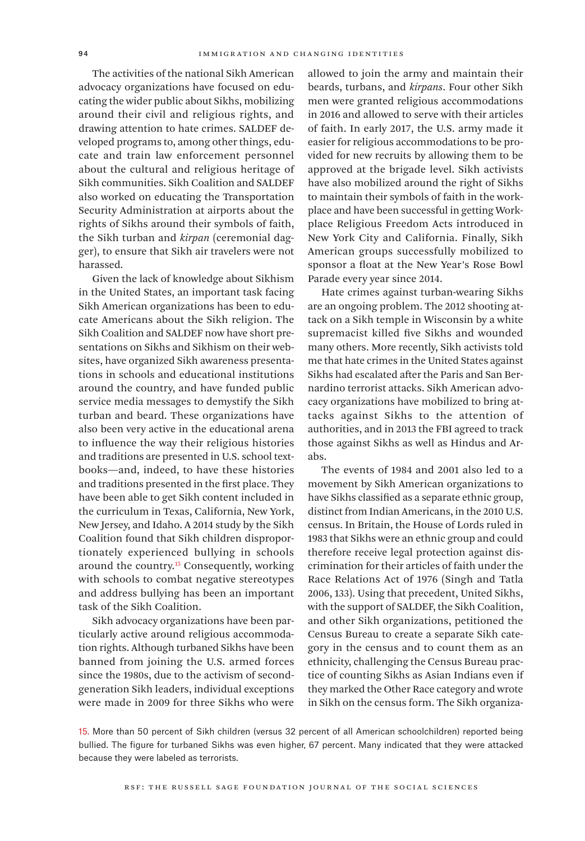The activities of the national Sikh American advocacy organizations have focused on educating the wider public about Sikhs, mobilizing around their civil and religious rights, and drawing attention to hate crimes. SALDEF developed programs to, among other things, educate and train law enforcement personnel about the cultural and religious heritage of Sikh communities. Sikh Coalition and SALDEF also worked on educating the Transportation Security Administration at airports about the rights of Sikhs around their symbols of faith, the Sikh turban and *kirpan* (ceremonial dagger), to ensure that Sikh air travelers were not harassed.

Given the lack of knowledge about Sikhism in the United States, an important task facing Sikh American organizations has been to educate Americans about the Sikh religion. The Sikh Coalition and SALDEF now have short presentations on Sikhs and Sikhism on their websites, have organized Sikh awareness presentations in schools and educational institutions around the country, and have funded public service media messages to demystify the Sikh turban and beard. These organizations have also been very active in the educational arena to influence the way their religious histories and traditions are presented in U.S. school textbooks—and, indeed, to have these histories and traditions presented in the first place. They have been able to get Sikh content included in the curriculum in Texas, California, New York, New Jersey, and Idaho. A 2014 study by the Sikh Coalition found that Sikh children disproportionately experienced bullying in schools around the country.15 Consequently, working with schools to combat negative stereotypes and address bullying has been an important task of the Sikh Coalition.

Sikh advocacy organizations have been particularly active around religious accommodation rights. Although turbaned Sikhs have been banned from joining the U.S. armed forces since the 1980s, due to the activism of secondgeneration Sikh leaders, individual exceptions were made in 2009 for three Sikhs who were allowed to join the army and maintain their beards, turbans, and *kirpans*. Four other Sikh men were granted religious accommodations in 2016 and allowed to serve with their articles of faith. In early 2017, the U.S. army made it easier for religious accommodations to be provided for new recruits by allowing them to be approved at the brigade level. Sikh activists have also mobilized around the right of Sikhs to maintain their symbols of faith in the workplace and have been successful in getting Workplace Religious Freedom Acts introduced in New York City and California. Finally, Sikh American groups successfully mobilized to sponsor a float at the New Year's Rose Bowl Parade every year since 2014.

Hate crimes against turban-wearing Sikhs are an ongoing problem. The 2012 shooting attack on a Sikh temple in Wisconsin by a white supremacist killed five Sikhs and wounded many others. More recently, Sikh activists told me that hate crimes in the United States against Sikhs had escalated after the Paris and San Bernardino terrorist attacks. Sikh American advocacy organizations have mobilized to bring attacks against Sikhs to the attention of authorities, and in 2013 the FBI agreed to track those against Sikhs as well as Hindus and Arabs.

The events of 1984 and 2001 also led to a movement by Sikh American organizations to have Sikhs classified as a separate ethnic group, distinct from Indian Americans, in the 2010 U.S. census. In Britain, the House of Lords ruled in 1983 that Sikhs were an ethnic group and could therefore receive legal protection against discrimination for their articles of faith under the Race Relations Act of 1976 (Singh and Tatla 2006, 133). Using that precedent, United Sikhs, with the support of SALDEF, the Sikh Coalition, and other Sikh organizations, petitioned the Census Bureau to create a separate Sikh category in the census and to count them as an ethnicity, challenging the Census Bureau practice of counting Sikhs as Asian Indians even if they marked the Other Race category and wrote in Sikh on the census form. The Sikh organiza-

15. More than 50 percent of Sikh children (versus 32 percent of all American schoolchildren) reported being bullied. The figure for turbaned Sikhs was even higher, 67 percent. Many indicated that they were attacked because they were labeled as terrorists.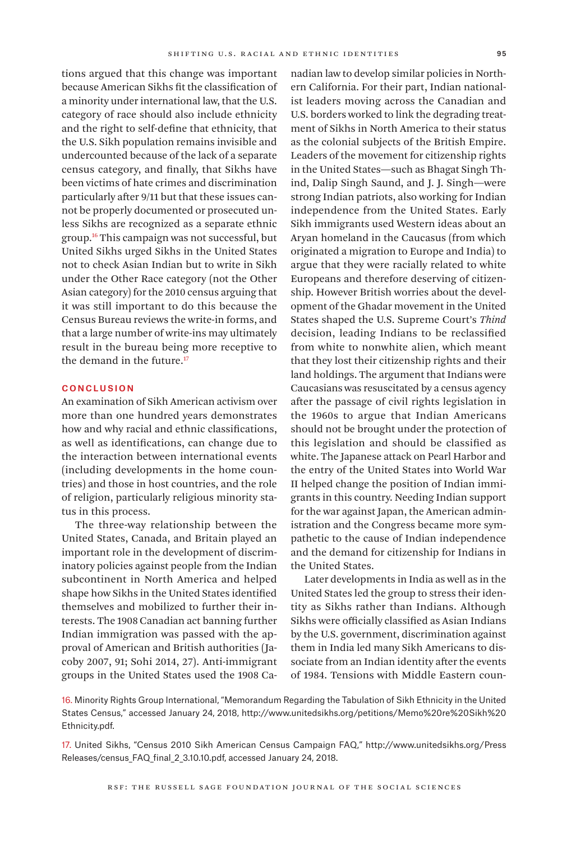tions argued that this change was important because American Sikhs fit the classification of a minority under international law, that the U.S. category of race should also include ethnicity and the right to self-define that ethnicity, that the U.S. Sikh population remains invisible and undercounted because of the lack of a separate census category, and finally, that Sikhs have been victims of hate crimes and discrimination particularly after 9/11 but that these issues cannot be properly documented or prosecuted unless Sikhs are recognized as a separate ethnic group.16 This campaign was not successful, but United Sikhs urged Sikhs in the United States not to check Asian Indian but to write in Sikh under the Other Race category (not the Other Asian category) for the 2010 census arguing that it was still important to do this because the Census Bureau reviews the write-in forms, and that a large number of write-ins may ultimately result in the bureau being more receptive to

#### **CONCLUSION**

the demand in the future.<sup>17</sup>

An examination of Sikh American activism over more than one hundred years demonstrates how and why racial and ethnic classifications, as well as identifications, can change due to the interaction between international events (including developments in the home countries) and those in host countries, and the role of religion, particularly religious minority status in this process.

The three-way relationship between the United States, Canada, and Britain played an important role in the development of discriminatory policies against people from the Indian subcontinent in North America and helped shape how Sikhs in the United States identified themselves and mobilized to further their interests. The 1908 Canadian act banning further Indian immigration was passed with the approval of American and British authorities (Jacoby 2007, 91; Sohi 2014, 27). Anti-immigrant groups in the United States used the 1908 Canadian law to develop similar policies in Northern California. For their part, Indian nationalist leaders moving across the Canadian and U.S. borders worked to link the degrading treatment of Sikhs in North America to their status as the colonial subjects of the British Empire. Leaders of the movement for citizenship rights in the United States—such as Bhagat Singh Thind, Dalip Singh Saund, and J. J. Singh—were strong Indian patriots, also working for Indian independence from the United States. Early Sikh immigrants used Western ideas about an Aryan homeland in the Caucasus (from which originated a migration to Europe and India) to argue that they were racially related to white Europeans and therefore deserving of citizenship. However British worries about the development of the Ghadar movement in the United States shaped the U.S. Supreme Court's *Thind* decision, leading Indians to be reclassified from white to nonwhite alien, which meant that they lost their citizenship rights and their land holdings. The argument that Indians were Caucasians was resuscitated by a census agency after the passage of civil rights legislation in the 1960s to argue that Indian Americans should not be brought under the protection of this legislation and should be classified as white. The Japanese attack on Pearl Harbor and the entry of the United States into World War II helped change the position of Indian immigrants in this country. Needing Indian support for the war against Japan, the American administration and the Congress became more sympathetic to the cause of Indian independence and the demand for citizenship for Indians in the United States.

Later developments in India as well as in the United States led the group to stress their identity as Sikhs rather than Indians. Although Sikhs were officially classified as Asian Indians by the U.S. government, discrimination against them in India led many Sikh Americans to dissociate from an Indian identity after the events of 1984. Tensions with Middle Eastern coun-

16. Minority Rights Group International, "Memorandum Regarding the Tabulation of Sikh Ethnicity in the United States Census," accessed January 24, 2018, [http://www.unitedsikhs.org/petitions/Memo%20re%20Sikh%20](http://www.unitedsikhs.org/petitions/Memo%20re%20Sikh%20Ethnicity.pdf.) [Ethnicity.pdf.](http://www.unitedsikhs.org/petitions/Memo%20re%20Sikh%20Ethnicity.pdf.)

17. United Sikhs, "Census 2010 Sikh American Census Campaign FAQ," [http://www.unitedsikhs.org/Press](http://www.unitedsikhs.org/PressReleases/census_FAQ_final_2_3.10.10.pdf) [Releases/census\\_FAQ\\_final\\_2\\_3.10.10.pdf,](http://www.unitedsikhs.org/PressReleases/census_FAQ_final_2_3.10.10.pdf) accessed January 24, 2018.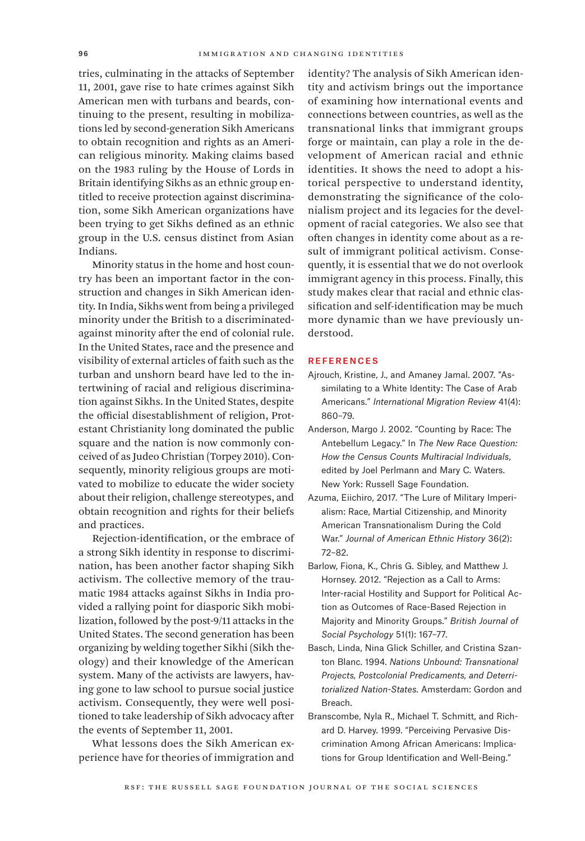tries, culminating in the attacks of September 11, 2001, gave rise to hate crimes against Sikh American men with turbans and beards, continuing to the present, resulting in mobilizations led by second-generation Sikh Americans to obtain recognition and rights as an American religious minority. Making claims based on the 1983 ruling by the House of Lords in Britain identifying Sikhs as an ethnic group entitled to receive protection against discrimination, some Sikh American organizations have been trying to get Sikhs defined as an ethnic group in the U.S. census distinct from Asian Indians.

Minority status in the home and host country has been an important factor in the construction and changes in Sikh American identity. In India, Sikhs went from being a privileged minority under the British to a discriminatedagainst minority after the end of colonial rule. In the United States, race and the presence and visibility of external articles of faith such as the turban and unshorn beard have led to the intertwining of racial and religious discrimination against Sikhs. In the United States, despite the official disestablishment of religion, Protestant Christianity long dominated the public square and the nation is now commonly conceived of as Judeo Christian (Torpey 2010). Consequently, minority religious groups are motivated to mobilize to educate the wider society about their religion, challenge stereotypes, and obtain recognition and rights for their beliefs and practices.

Rejection-identification, or the embrace of a strong Sikh identity in response to discrimination, has been another factor shaping Sikh activism. The collective memory of the traumatic 1984 attacks against Sikhs in India provided a rallying point for diasporic Sikh mobilization, followed by the post-9/11 attacks in the United States. The second generation has been organizing by welding together Sikhi (Sikh theology) and their knowledge of the American system. Many of the activists are lawyers, having gone to law school to pursue social justice activism. Consequently, they were well positioned to take leadership of Sikh advocacy after the events of September 11, 2001.

What lessons does the Sikh American experience have for theories of immigration and identity? The analysis of Sikh American identity and activism brings out the importance of examining how international events and connections between countries, as well as the transnational links that immigrant groups forge or maintain, can play a role in the development of American racial and ethnic identities. It shows the need to adopt a historical perspective to understand identity, demonstrating the significance of the colonialism project and its legacies for the development of racial categories. We also see that often changes in identity come about as a result of immigrant political activism. Consequently, it is essential that we do not overlook immigrant agency in this process. Finally, this study makes clear that racial and ethnic classification and self-identification may be much more dynamic than we have previously understood.

#### **REFERENCES**

- Ajrouch, Kristine, J., and Amaney Jamal. 2007. "Assimilating to a White Identity: The Case of Arab Americans." *International Migration Review* 41(4): 860–79.
- Anderson, Margo J. 2002. "Counting by Race: The Antebellum Legacy." In *The New Race Question: How the Census Counts Multiracial Individuals*, edited by Joel Perlmann and Mary C. Waters. New York: Russell Sage Foundation.
- Azuma, Eiichiro, 2017. "The Lure of Military Imperialism: Race, Martial Citizenship, and Minority American Transnationalism During the Cold War." *Journal of American Ethnic History* 36(2): 72–82.
- Barlow, Fiona, K., Chris G. Sibley, and Matthew J. Hornsey. 2012. "Rejection as a Call to Arms: Inter-racial Hostility and Support for Political Action as Outcomes of Race-Based Rejection in Majority and Minority Groups." *British Journal of Social Psychology* 51(1): 167–77.
- Basch, Linda, Nina Glick Schiller, and Cristina Szanton Blanc. 1994. *Nations Unbound: Transnational Projects, Postcolonial Predicaments, and Deterritorialized Nation-States.* Amsterdam: Gordon and Breach.
- Branscombe, Nyla R., Michael T. Schmitt, and Richard D. Harvey. 1999. "Perceiving Pervasive Discrimination Among African Americans: Implications for Group Identification and Well-Being."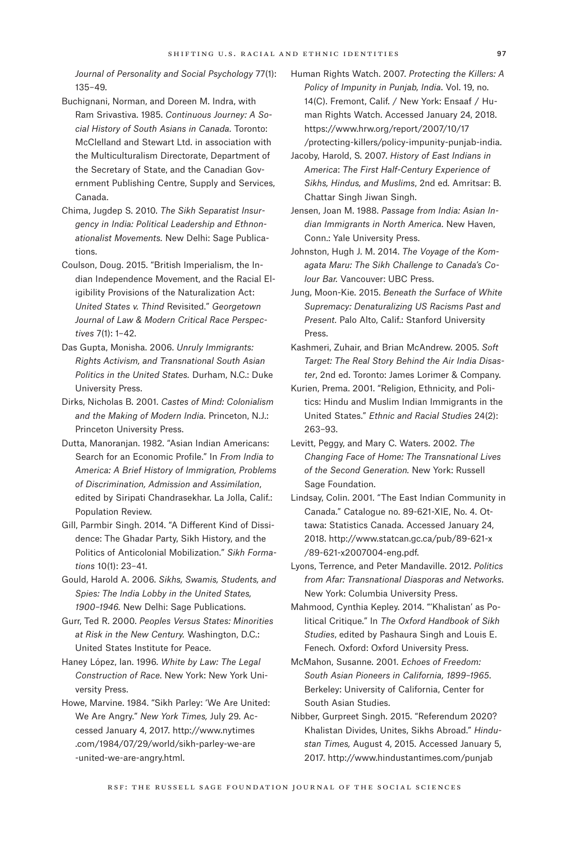*Journal of Personality and Social Psychology* 77(1): 135–49.

- Buchignani, Norman, and Doreen M. Indra, with Ram Srivastiva. 1985. *Continuous Journey: A Social History of South Asians in Canada.* Toronto: McClelland and Stewart Ltd. in association with the Multiculturalism Directorate, Department of the Secretary of State, and the Canadian Government Publishing Centre, Supply and Services, Canada.
- Chima, Jugdep S. 2010. *The Sikh Separatist Insurgency in India: Political Leadership and Ethnonationalist Movements.* New Delhi: Sage Publications.
- Coulson, Doug. 2015. "British Imperialism, the Indian Independence Movement, and the Racial Eligibility Provisions of the Naturalization Act: *United States v. Thind* Revisited." *Georgetown Journal of Law & Modern Critical Race Perspectives* 7(1): 1–42.
- Das Gupta, Monisha. 2006. *Unruly Immigrants: Rights Activism, and Transnational South Asian Politics in the United States.* Durham, N.C.: Duke University Press.
- Dirks, Nicholas B. 2001. *Castes of Mind: Colonialism and the Making of Modern India.* Princeton, N.J.: Princeton University Press.
- Dutta, Manoranjan. 1982. "Asian Indian Americans: Search for an Economic Profile." In *From India to America: A Brief History of Immigration, Problems of Discrimination, Admission and Assimilation*, edited by Siripati Chandrasekhar. La Jolla, Calif.: Population Review.
- Gill, Parmbir Singh. 2014. "A Different Kind of Dissidence: The Ghadar Party, Sikh History, and the Politics of Anticolonial Mobilization." *Sikh Formations* 10(1): 23–41.
- Gould, Harold A. 2006. *Sikhs, Swamis, Students, and Spies: The India Lobby in the United States, 1900–1946.* New Delhi: Sage Publications.
- Gurr, Ted R. 2000. *Peoples Versus States: Minorities at Risk in the New Century.* Washington, D.C.: United States Institute for Peace.

Haney López, Ian. 1996. *White by Law: The Legal Construction of Race*. New York: New York University Press.

Howe, Marvine. 1984. "Sikh Parley: 'We Are United: We Are Angry." *New York Times,* July 29. Accessed January 4, 2017. [http://www.nytimes](http://www.nytimes.com/1984/07/29/world/sikh-parley-we-are-united-we-are-angry.html.) [.com/1984/07/29/world/sikh-parley-we-are](http://www.nytimes.com/1984/07/29/world/sikh-parley-we-are-united-we-are-angry.html.) [-united-we-are-angry.html.](http://www.nytimes.com/1984/07/29/world/sikh-parley-we-are-united-we-are-angry.html.)

Human Rights Watch. 2007. *Protecting the Killers: A Policy of Impunity in Punjab, India*. Vol. 19, no. 14(C). Fremont, Calif. / New York: Ensaaf / Human Rights Watch. Accessed January 24, 2018. [https://www.hrw.org/report/2007/10/17](https://www.hrw.org/report/2007/10/17/protecting-killers/policy-impunity-punjab-india.) [/protecting-killers/policy-impunity-punjab-india.](https://www.hrw.org/report/2007/10/17/protecting-killers/policy-impunity-punjab-india.)

Jacoby, Harold, S. 2007. *History of East Indians in America*: *The First Half-Century Experience of Sikhs, Hindus, and Muslims*, 2nd ed*.* Amritsar: B. Chattar Singh Jiwan Singh.

- Jensen, Joan M. 1988. *Passage from India: Asian Indian Immigrants in North America.* New Haven, Conn.: Yale University Press.
- Johnston, Hugh J. M. 2014. *The Voyage of the Komagata Maru: The Sikh Challenge to Canada's Colour Bar.* Vancouver: UBC Press.
- Jung, Moon-Kie. 2015. *Beneath the Surface of White Supremacy: Denaturalizing US Racisms Past and Present.* Palo Alto, Calif.: Stanford University Press.
- Kashmeri, Zuhair, and Brian McAndrew. 2005. *Soft Target: The Real Story Behind the Air India Disaster*, 2nd ed. Toronto: James Lorimer & Company.
- Kurien, Prema. 2001. "Religion, Ethnicity, and Politics: Hindu and Muslim Indian Immigrants in the United States." *Ethnic and Racial Studies* 24(2): 263–93.
- Levitt, Peggy, and Mary C. Waters. 2002. *The Changing Face of Home: The Transnational Lives of the Second Generation.* New York: Russell Sage Foundation.
- Lindsay, Colin. 2001. "The East Indian Community in Canada." Catalogue no. 89-621-XIE, No. 4. Ottawa: Statistics Canada. Accessed January 24, 2018. [http://www.statcan.gc.ca/pub/89-621-x](http://www.statcan.gc.ca/pub/89-621-x/89-621-x2007004-eng.pdf.) [/89-621-x2007004-eng.pdf.](http://www.statcan.gc.ca/pub/89-621-x/89-621-x2007004-eng.pdf.)
- Lyons, Terrence, and Peter Mandaville. 2012. *Politics from Afar: Transnational Diasporas and Networks*. New York: Columbia University Press.
- Mahmood, Cynthia Kepley. 2014. "'Khalistan' as Political Critique." In *The Oxford Handbook of Sikh Studies*, edited by Pashaura Singh and Louis E. Fenech*.* Oxford: Oxford University Press.
- McMahon, Susanne. 2001. *Echoes of Freedom: South Asian Pioneers in California, 1899–1965*. Berkeley: University of California, Center for South Asian Studies.
- Nibber, Gurpreet Singh. 2015. "Referendum 2020? Khalistan Divides, Unites, Sikhs Abroad." *Hindustan Times,* August 4, 2015. Accessed January 5, 2017. [http://www.hindustantimes.com/punjab]( http://www.hindustantimes.com/punjab/referendum-2020-khalistan-divides-unites-sikhs-abroad/story-QBIfntRdW0zF7kVpw9XgmN.html.)